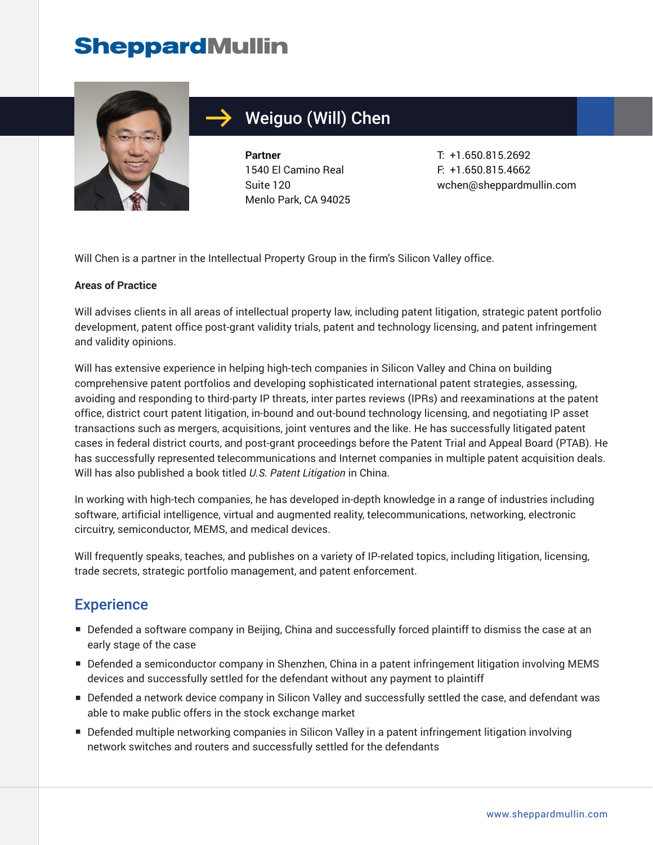# **SheppardMullin**



# Weiguo (Will) Chen

**Partner** 1540 El Camino Real Suite 120 Menlo Park, CA 94025 T: +1.650.815.2692 F: +1.650.815.4662 wchen@sheppardmullin.com

Will Chen is a partner in the Intellectual Property Group in the firm's Silicon Valley office.

#### **Areas of Practice**

Will advises clients in all areas of intellectual property law, including patent litigation, strategic patent portfolio development, patent office post-grant validity trials, patent and technology licensing, and patent infringement and validity opinions.

Will has extensive experience in helping high-tech companies in Silicon Valley and China on building comprehensive patent portfolios and developing sophisticated international patent strategies, assessing, avoiding and responding to third-party IP threats, inter partes reviews (IPRs) and reexaminations at the patent office, district court patent litigation, in-bound and out-bound technology licensing, and negotiating IP asset transactions such as mergers, acquisitions, joint ventures and the like. He has successfully litigated patent cases in federal district courts, and post-grant proceedings before the Patent Trial and Appeal Board (PTAB). He has successfully represented telecommunications and Internet companies in multiple patent acquisition deals. Will has also published a book titled *U.S. Patent Litigation* in China.

In working with high-tech companies, he has developed in-depth knowledge in a range of industries including software, artificial intelligence, virtual and augmented reality, telecommunications, networking, electronic circuitry, semiconductor, MEMS, and medical devices.

Will frequently speaks, teaches, and publishes on a variety of IP-related topics, including litigation, licensing, trade secrets, strategic portfolio management, and patent enforcement.

#### **Experience**

- Defended a software company in Beijing, China and successfully forced plaintiff to dismiss the case at an early stage of the case
- Defended a semiconductor company in Shenzhen, China in a patent infringement litigation involving MEMS devices and successfully settled for the defendant without any payment to plaintiff
- Defended a network device company in Silicon Valley and successfully settled the case, and defendant was able to make public offers in the stock exchange market
- Defended multiple networking companies in Silicon Valley in a patent infringement litigation involving network switches and routers and successfully settled for the defendants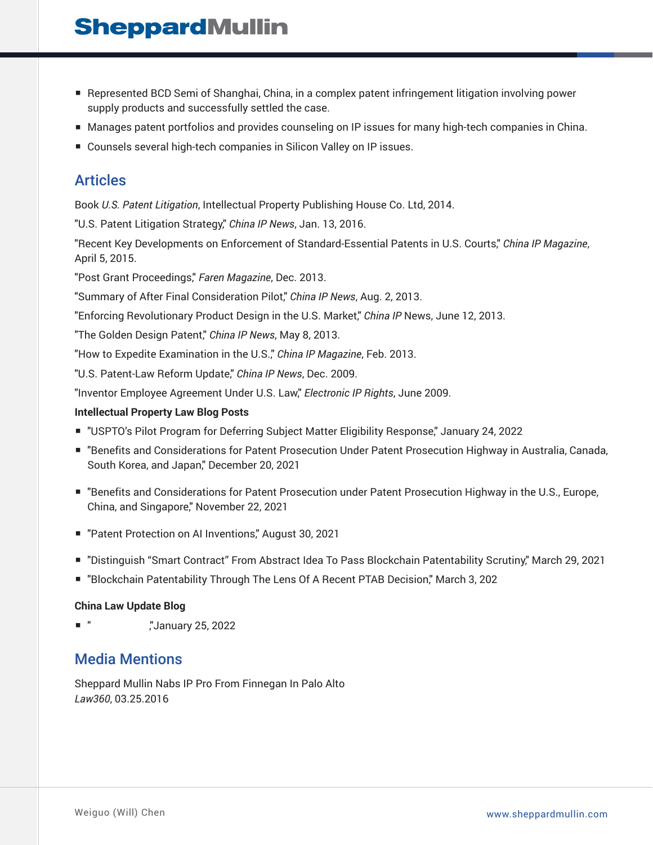# **SheppardMullin**

- Represented BCD Semi of Shanghai, China, in a complex patent infringement litigation involving power supply products and successfully settled the case.
- Manages patent portfolios and provides counseling on IP issues for many high-tech companies in China.
- Counsels several high-tech companies in Silicon Valley on IP issues.

### Articles

Book *U.S. Patent Litigation*, Intellectual Property Publishing House Co. Ltd, 2014.

"U.S. Patent Litigation Strategy," *China IP News*, Jan. 13, 2016.

"Recent Key Developments on Enforcement of Standard-Essential Patents in U.S. Courts," *China IP Magazine*, April 5, 2015.

"Post Grant Proceedings," *Faren Magazine*, Dec. 2013.

"Summary of After Final Consideration Pilot," *China IP News*, Aug. 2, 2013.

"Enforcing Revolutionary Product Design in the U.S. Market," *China IP* News, June 12, 2013.

"The Golden Design Patent," *China IP News*, May 8, 2013.

"How to Expedite Examination in the U.S.," *China IP Magazine*, Feb. 2013.

"U.S. Patent-Law Reform Update," *China IP News*, Dec. 2009.

"Inventor Employee Agreement Under U.S. Law," *Electronic IP Rights*, June 2009.

#### **Intellectual Property Law Blog Posts**

- "USPTO's Pilot Program for Deferring Subject Matter Eligibility Response," January 24, 2022
- "Benefits and Considerations for Patent Prosecution Under Patent Prosecution Highway in Australia, Canada, South Korea, and Japan," December 20, 2021
- "Benefits and Considerations for Patent Prosecution under Patent Prosecution Highway in the U.S., Europe, China, and Singapore," November 22, 2021
- "Patent Protection on AI Inventions," August 30, 2021
- "Distinguish "Smart Contract" From Abstract Idea To Pass Blockchain Patentability Scrutiny," March 29, 2021
- "Blockchain Patentability Through The Lens Of A Recent PTAB Decision," March 3, 202

#### **China Law Update Blog**

■ " ,"January 25, 2022

#### Media Mentions

Sheppard Mullin Nabs IP Pro From Finnegan In Palo Alto *Law360*, 03.25.2016